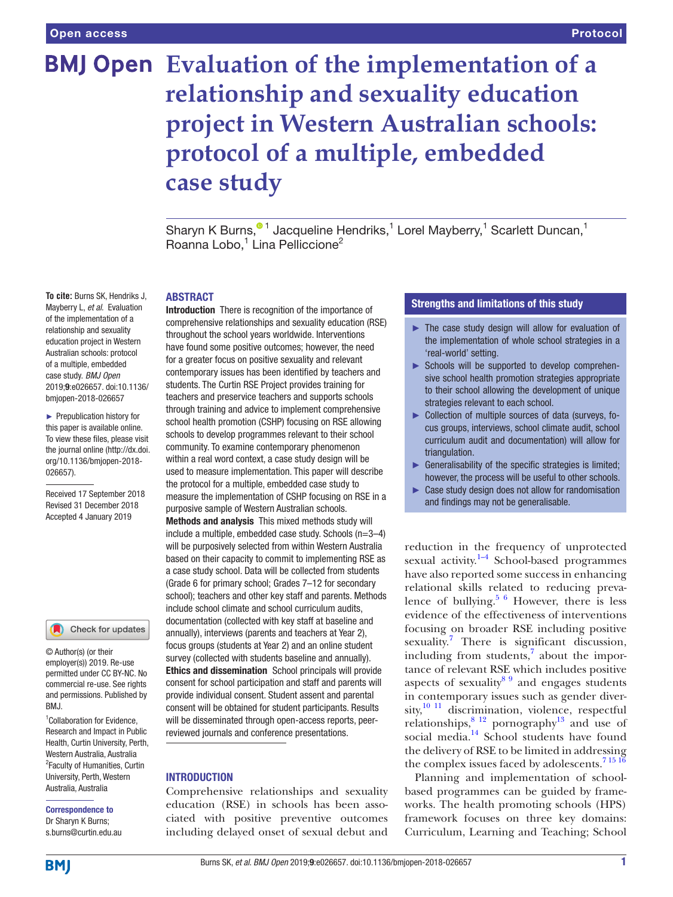# **BMJ Open** Evaluation of the implementation of a **relationship and sexuality education project in Western Australian schools: protocol of a multiple, embedded case study**

Sharyn K Burns,<sup>® 1</sup> Jacqueline Hendriks,<sup>1</sup> Lorel Mayberry,<sup>1</sup> Scarlett Duncan,<sup>1</sup> Roanna Lobo,<sup>1</sup> Lina Pelliccione<sup>2</sup>

#### **ABSTRACT**

**To cite:** Burns SK, Hendriks J, Mayberry L, *et al*. Evaluation of the implementation of a relationship and sexuality education project in Western Australian schools: protocol of a multiple, embedded case study. *BMJ Open* 2019;9:e026657. doi:10.1136/ bmjopen-2018-026657

► Prepublication history for this paper is available online. To view these files, please visit the journal online [\(http://dx.doi.](http://dx.doi.org/10.1136/bmjopen-2018-026657) [org/10.1136/bmjopen-2018-](http://dx.doi.org/10.1136/bmjopen-2018-026657) [026657\)](http://dx.doi.org/10.1136/bmjopen-2018-026657).

Received 17 September 2018 Revised 31 December 2018 Accepted 4 January 2019

#### Check for updates

© Author(s) (or their employer(s)) 2019. Re-use permitted under CC BY-NC. No commercial re-use. See rights and permissions. Published by RM<sub>J</sub>

<sup>1</sup> Collaboration for Evidence, Research and Impact in Public Health, Curtin University, Perth, Western Australia, Australia 2 Faculty of Humanities, Curtin University, Perth, Western Australia, Australia

# Correspondence to Dr Sharyn K Burns;

s.burns@curtin.edu.au

Introduction There is recognition of the importance of comprehensive relationships and sexuality education (RSE) throughout the school years worldwide. Interventions have found some positive outcomes; however, the need for a greater focus on positive sexuality and relevant contemporary issues has been identified by teachers and students. The Curtin RSE Project provides training for teachers and preservice teachers and supports schools through training and advice to implement comprehensive school health promotion (CSHP) focusing on RSE allowing schools to develop programmes relevant to their school community. To examine contemporary phenomenon within a real word context, a case study design will be used to measure implementation. This paper will describe the protocol for a multiple, embedded case study to measure the implementation of CSHP focusing on RSE in a purposive sample of Western Australian schools. Methods and analysis This mixed methods study will include a multiple, embedded case study. Schools (n=3–4) will be purposively selected from within Western Australia based on their capacity to commit to implementing RSE as a case study school. Data will be collected from students (Grade 6 for primary school; Grades 7–12 for secondary school); teachers and other key staff and parents. Methods include school climate and school curriculum audits, documentation (collected with key staff at baseline and annually), interviews (parents and teachers at Year 2), focus groups (students at Year 2) and an online student survey (collected with students baseline and annually). Ethics and dissemination School principals will provide consent for school participation and staff and parents will provide individual consent. Student assent and parental consent will be obtained for student participants. Results will be disseminated through open-access reports, peerreviewed journals and conference presentations.

#### **INTRODUCTION**

Comprehensive relationships and sexuality education (RSE) in schools has been associated with positive preventive outcomes including delayed onset of sexual debut and

# Strengths and limitations of this study

- ► The case study design will allow for evaluation of the implementation of whole school strategies in a 'real-world' setting.
- ► Schools will be supported to develop comprehensive school health promotion strategies appropriate to their school allowing the development of unique strategies relevant to each school.
- ► Collection of multiple sources of data (surveys, focus groups, interviews, school climate audit, school curriculum audit and documentation) will allow for triangulation.
- ► Generalisability of the specific strategies is limited; however, the process will be useful to other schools.
- ► Case study design does not allow for randomisation and findings may not be generalisable.

reduction in the frequency of unprotected sexual activity. $1-4$  School-based programmes have also reported some success in enhancing relational skills related to reducing preva-lence of bullying.<sup>[5 6](#page-5-1)</sup> However, there is less evidence of the effectiveness of interventions focusing on broader RSE including positive sexuality.<sup>[7](#page-5-2)</sup> There is significant discussion, including from students, $\frac{7}{1}$  about the importance of relevant RSE which includes positive aspects of sexuality $89$  and engages students in contemporary issues such as gender diversity,<sup>10 11</sup> discrimination, violence, respectful relationships,  $8^{12}$  pornography<sup>13</sup> and use of social media.<sup>14</sup> School students have found the delivery of RSE to be limited in addressing the complex issues faced by adolescents.<sup>7 15 16</sup>

Planning and implementation of schoolbased programmes can be guided by frameworks. The health promoting schools (HPS) framework focuses on three key domains: Curriculum, Learning and Teaching; School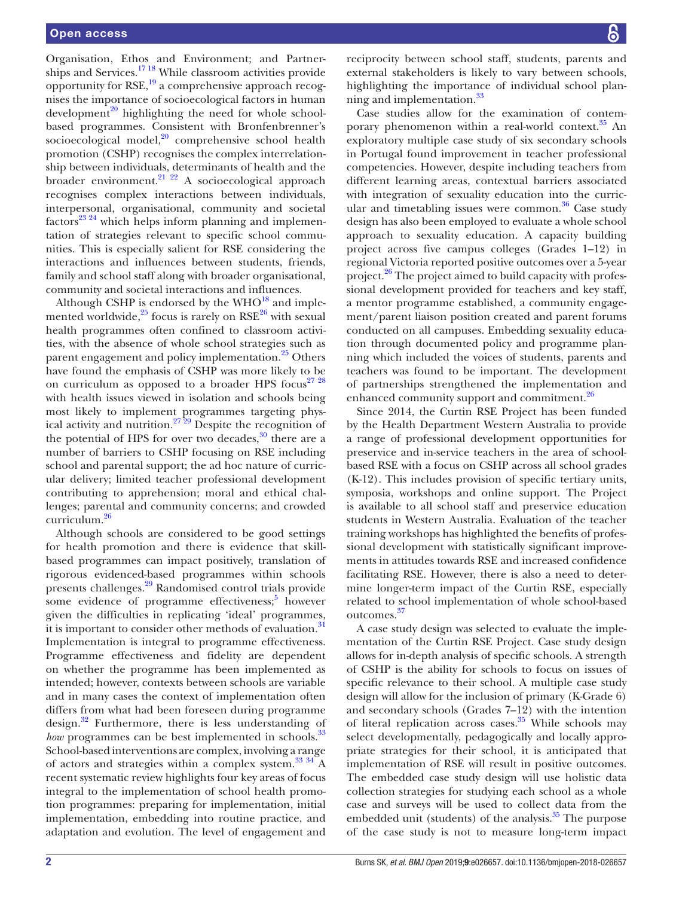Organisation, Ethos and Environment; and Partnerships and Services.<sup>1718</sup> While classroom activities provide opportunity for  $RSE$ <sup>[19](#page-6-0)</sup>, a comprehensive approach recognises the importance of socioecological factors in human development<sup>[20](#page-6-1)</sup> highlighting the need for whole schoolbased programmes. Consistent with Bronfenbrenner's socioecological model, $^{20}$  comprehensive school health promotion (CSHP) recognises the complex interrelationship between individuals, determinants of health and the broader environment. $2^{1/22}$  A socioecological approach recognises complex interactions between individuals, interpersonal, organisational, community and societal factors<sup>23</sup> <sup>24</sup> which helps inform planning and implementation of strategies relevant to specific school communities. This is especially salient for RSE considering the interactions and influences between students, friends, family and school staff along with broader organisational, community and societal interactions and influences.

Although CSHP is endorsed by the  $WHO^{18}$  $WHO^{18}$  $WHO^{18}$  and implemented worldwide, $^{25}$  $^{25}$  $^{25}$  focus is rarely on RSE $^{26}$  with sexual health programmes often confined to classroom activities, with the absence of whole school strategies such as parent engagement and policy implementation.<sup>25</sup> Others have found the emphasis of CSHP was more likely to be on curriculum as opposed to a broader HPS focus<sup>27</sup> <sup>28</sup> with health issues viewed in isolation and schools being most likely to implement programmes targeting physical activity and nutrition.<sup>27</sup><sup>29</sup> Despite the recognition of the potential of HPS for over two decades, $30$  there are a number of barriers to CSHP focusing on RSE including school and parental support; the ad hoc nature of curricular delivery; limited teacher professional development contributing to apprehension; moral and ethical challenges; parental and community concerns; and crowded curriculum.[26](#page-6-5)

Although schools are considered to be good settings for health promotion and there is evidence that skillbased programmes can impact positively, translation of rigorous evidenced-based programmes within schools presents challenges[.29](#page-6-8) Randomised control trials provide some evidence of programme effectiveness;<sup>[5](#page-5-1)</sup> however given the difficulties in replicating 'ideal' programmes, it is important to consider other methods of evaluation.<sup>31</sup> Implementation is integral to programme effectiveness. Programme effectiveness and fidelity are dependent on whether the programme has been implemented as intended; however, contexts between schools are variable and in many cases the context of implementation often differs from what had been foreseen during programme design.[32](#page-6-10) Furthermore, there is less understanding of *how* programmes can be best implemented in schools.<sup>33</sup> School-based interventions are complex, involving a range of actors and strategies within a complex system.<sup>33 34</sup> A recent systematic review highlights four key areas of focus integral to the implementation of school health promotion programmes: preparing for implementation, initial implementation, embedding into routine practice, and adaptation and evolution. The level of engagement and

reciprocity between school staff, students, parents and external stakeholders is likely to vary between schools, highlighting the importance of individual school planning and implementation.<sup>33</sup>

Case studies allow for the examination of contemporary phenomenon within a real-world context. $35$  An exploratory multiple case study of six secondary schools in Portugal found improvement in teacher professional competencies. However, despite including teachers from different learning areas, contextual barriers associated with integration of sexuality education into the curricular and timetabling issues were common. $36$  Case study design has also been employed to evaluate a whole school approach to sexuality education. A capacity building project across five campus colleges (Grades 1–12) in regional Victoria reported positive outcomes over a 5-year project.[26](#page-6-5) The project aimed to build capacity with professional development provided for teachers and key staff, a mentor programme established, a community engagement/parent liaison position created and parent forums conducted on all campuses. Embedding sexuality education through documented policy and programme planning which included the voices of students, parents and teachers was found to be important. The development of partnerships strengthened the implementation and enhanced community support and commitment.<sup>26</sup>

Since 2014, the Curtin RSE Project has been funded by the Health Department Western Australia to provide a range of professional development opportunities for preservice and in-service teachers in the area of schoolbased RSE with a focus on CSHP across all school grades (K-12). This includes provision of specific tertiary units, symposia, workshops and online support. The Project is available to all school staff and preservice education students in Western Australia. Evaluation of the teacher training workshops has highlighted the benefits of professional development with statistically significant improvements in attitudes towards RSE and increased confidence facilitating RSE. However, there is also a need to determine longer-term impact of the Curtin RSE, especially related to school implementation of whole school-based outcomes[.37](#page-6-14)

A case study design was selected to evaluate the implementation of the Curtin RSE Project. Case study design allows for in-depth analysis of specific schools. A strength of CSHP is the ability for schools to focus on issues of specific relevance to their school. A multiple case study design will allow for the inclusion of primary (K-Grade 6) and secondary schools (Grades 7–12) with the intention of literal replication across cases.<sup>35</sup> While schools may select developmentally, pedagogically and locally appropriate strategies for their school, it is anticipated that implementation of RSE will result in positive outcomes. The embedded case study design will use holistic data collection strategies for studying each school as a whole case and surveys will be used to collect data from the embedded unit (students) of the analysis. $35$  The purpose of the case study is not to measure long-term impact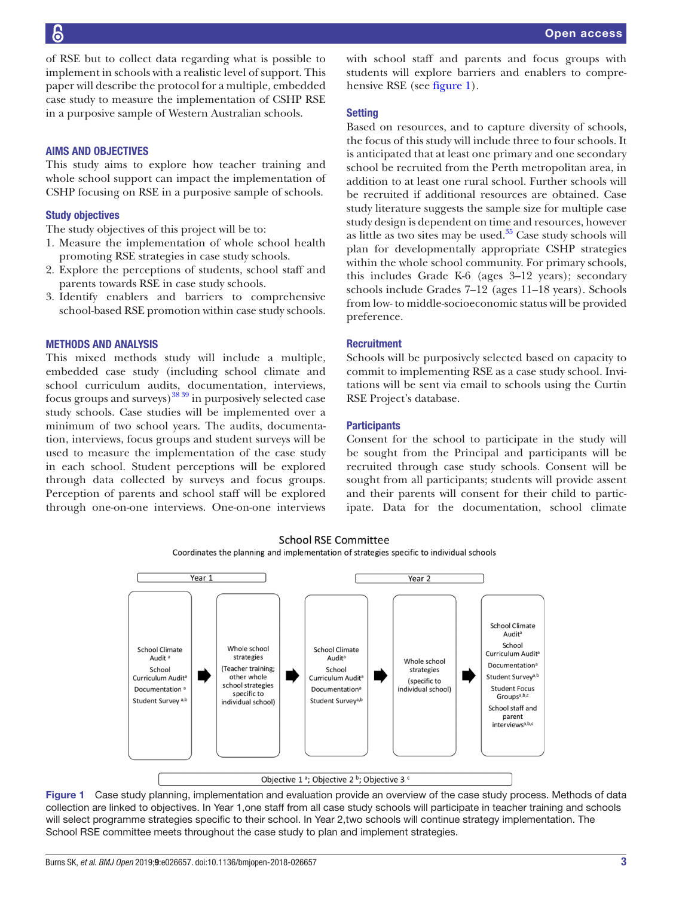**P** 

of RSE but to collect data regarding what is possible to implement in schools with a realistic level of support. This paper will describe the protocol for a multiple, embedded case study to measure the implementation of CSHP RSE in a purposive sample of Western Australian schools.

# Aims and objectives

This study aims to explore how teacher training and whole school support can impact the implementation of CSHP focusing on RSE in a purposive sample of schools.

## Study objectives

The study objectives of this project will be to:

- 1. Measure the implementation of whole school health promoting RSE strategies in case study schools.
- 2. Explore the perceptions of students, school staff and parents towards RSE in case study schools.
- 3. Identify enablers and barriers to comprehensive school-based RSE promotion within case study schools.

# Methods and analysis

This mixed methods study will include a multiple, embedded case study (including school climate and school curriculum audits, documentation, interviews, focus groups and surveys)  $38\frac{39}{10}$  in purposively selected case study schools. Case studies will be implemented over a minimum of two school years. The audits, documentation, interviews, focus groups and student surveys will be used to measure the implementation of the case study in each school. Student perceptions will be explored through data collected by surveys and focus groups. Perception of parents and school staff will be explored through one-on-one interviews. One-on-one interviews with school staff and parents and focus groups with students will explore barriers and enablers to comprehensive RSE (see [figure](#page-2-0) 1).

#### **Setting**

Based on resources, and to capture diversity of schools, the focus of this study will include three to four schools. It is anticipated that at least one primary and one secondary school be recruited from the Perth metropolitan area, in addition to at least one rural school. Further schools will be recruited if additional resources are obtained. Case study literature suggests the sample size for multiple case study design is dependent on time and resources, however as little as two sites may be used. $35$  Case study schools will plan for developmentally appropriate CSHP strategies within the whole school community. For primary schools, this includes Grade K-6 (ages 3–12 years); secondary schools include Grades 7–12 (ages 11–18 years). Schools from low- to middle-socioeconomic status will be provided preference.

# **Recruitment**

Schools will be purposively selected based on capacity to commit to implementing RSE as a case study school. Invitations will be sent via email to schools using the Curtin RSE Project's database.

#### **Participants**

Consent for the school to participate in the study will be sought from the Principal and participants will be recruited through case study schools. Consent will be sought from all participants; students will provide assent and their parents will consent for their child to participate. Data for the documentation, school climate

Groups<sup>a,b,c</sup>

School staff and parent interviews<sup>a,b,c</sup>



Student Survey<sup>a,b</sup>

**School RSE Committee** Coordinates the planning and implementation of strategies specific to individual schools



<span id="page-2-0"></span>Objective 1<sup>a</sup>; Objective 2<sup>b</sup>; Objective 3<sup>c</sup>

Student Survey<sup>a,t</sup>

individual school)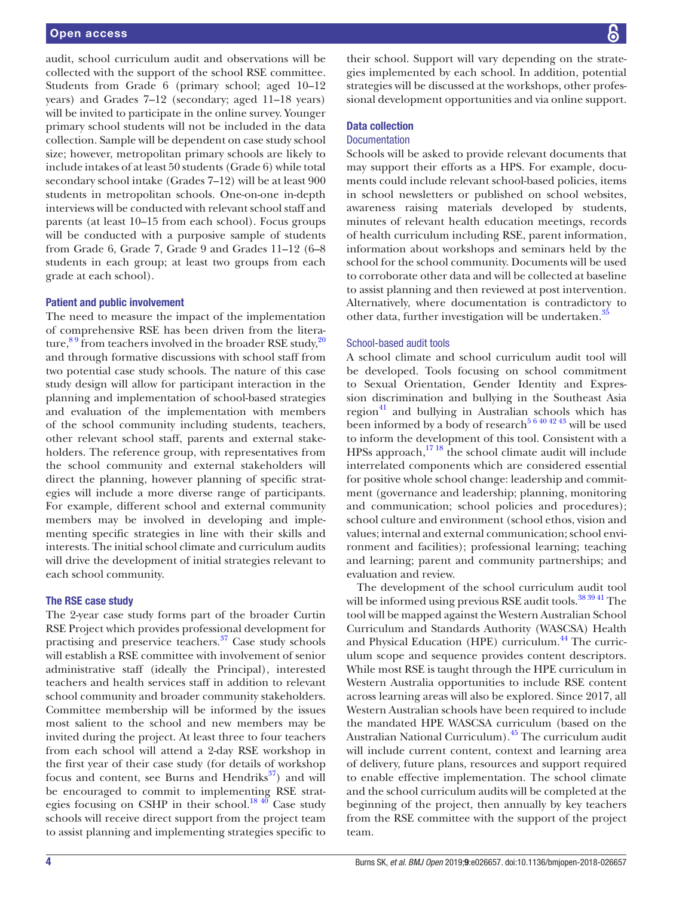audit, school curriculum audit and observations will be collected with the support of the school RSE committee. Students from Grade 6 (primary school; aged 10–12 years) and Grades 7–12 (secondary; aged 11–18 years) will be invited to participate in the online survey. Younger primary school students will not be included in the data collection. Sample will be dependent on case study school size; however, metropolitan primary schools are likely to include intakes of at least 50 students (Grade 6) while total secondary school intake (Grades 7–12) will be at least 900 students in metropolitan schools. One-on-one in-depth interviews will be conducted with relevant school staff and parents (at least 10–15 from each school). Focus groups will be conducted with a purposive sample of students from Grade 6, Grade 7, Grade 9 and Grades 11–12 (6–8 students in each group; at least two groups from each grade at each school).

## Patient and public involvement

The need to measure the impact of the implementation of comprehensive RSE has been driven from the literature,  $89$  from teachers involved in the broader RSE study,  $20$ and through formative discussions with school staff from two potential case study schools. The nature of this case study design will allow for participant interaction in the planning and implementation of school-based strategies and evaluation of the implementation with members of the school community including students, teachers, other relevant school staff, parents and external stakeholders. The reference group, with representatives from the school community and external stakeholders will direct the planning, however planning of specific strategies will include a more diverse range of participants. For example, different school and external community members may be involved in developing and implementing specific strategies in line with their skills and interests. The initial school climate and curriculum audits will drive the development of initial strategies relevant to each school community.

#### The RSE case study

The 2-year case study forms part of the broader Curtin RSE Project which provides professional development for practising and preservice teachers.<sup>37</sup> Case study schools will establish a RSE committee with involvement of senior administrative staff (ideally the Principal), interested teachers and health services staff in addition to relevant school community and broader community stakeholders. Committee membership will be informed by the issues most salient to the school and new members may be invited during the project. At least three to four teachers from each school will attend a 2-day RSE workshop in the first year of their case study (for details of workshop focus and content, see Burns and Hendriks $^{37}$  $^{37}$  $^{37}$ ) and will be encouraged to commit to implementing RSE strategies focusing on CSHP in their school.<sup>18 40</sup> Case study schools will receive direct support from the project team to assist planning and implementing strategies specific to

their school. Support will vary depending on the strategies implemented by each school. In addition, potential strategies will be discussed at the workshops, other professional development opportunities and via online support.

# Data collection

### **Documentation**

Schools will be asked to provide relevant documents that may support their efforts as a HPS. For example, documents could include relevant school-based policies, items in school newsletters or published on school websites, awareness raising materials developed by students, minutes of relevant health education meetings, records of health curriculum including RSE, parent information, information about workshops and seminars held by the school for the school community. Documents will be used to corroborate other data and will be collected at baseline to assist planning and then reviewed at post intervention. Alternatively, where documentation is contradictory to other data, further investigation will be undertaken.<sup>3</sup>

#### School-based audit tools

A school climate and school curriculum audit tool will be developed. Tools focusing on school commitment to Sexual Orientation, Gender Identity and Expression discrimination and bullying in the Southeast Asia region $^{41}$  and bullying in Australian schools which has been informed by a body of research<sup>[5 6 40 42 43](#page-5-1)</sup> will be used to inform the development of this tool. Consistent with a HPSs approach, $1718$  the school climate audit will include interrelated components which are considered essential for positive whole school change: leadership and commitment (governance and leadership; planning, monitoring and communication; school policies and procedures); school culture and environment (school ethos, vision and values; internal and external communication; school environment and facilities); professional learning; teaching and learning; parent and community partnerships; and evaluation and review.

The development of the school curriculum audit tool will be informed using previous RSE audit tools.<sup>[38 39 41](#page-6-15)</sup> The tool will be mapped against the Western Australian School Curriculum and Standards Authority (WASCSA) Health and Physical Education (HPE) curriculum.<sup>44</sup> The curriculum scope and sequence provides content descriptors. While most RSE is taught through the HPE curriculum in Western Australia opportunities to include RSE content across learning areas will also be explored. Since 2017, all Western Australian schools have been required to include the mandated HPE WASCSA curriculum (based on the Australian National Curriculum).[45](#page-6-18) The curriculum audit will include current content, context and learning area of delivery, future plans, resources and support required to enable effective implementation. The school climate and the school curriculum audits will be completed at the beginning of the project, then annually by key teachers from the RSE committee with the support of the project team.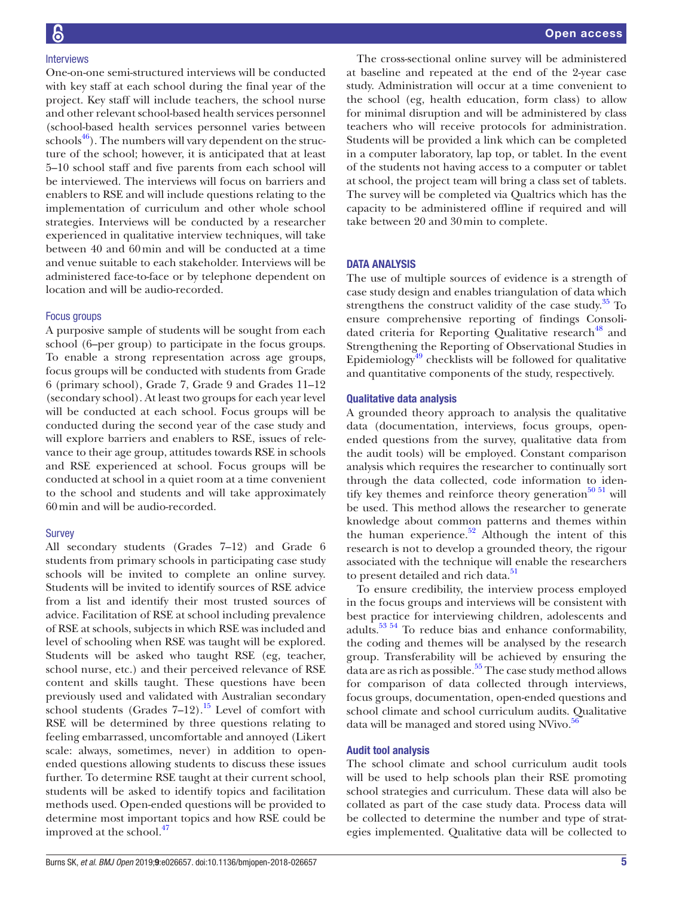One-on-one semi-structured interviews will be conducted with key staff at each school during the final year of the project. Key staff will include teachers, the school nurse and other relevant school-based health services personnel (school-based health services personnel varies between  $\frac{46}{1}$ . The numbers will vary dependent on the structure of the school; however, it is anticipated that at least 5–10 school staff and five parents from each school will be interviewed. The interviews will focus on barriers and enablers to RSE and will include questions relating to the implementation of curriculum and other whole school strategies. Interviews will be conducted by a researcher experienced in qualitative interview techniques, will take between 40 and 60min and will be conducted at a time and venue suitable to each stakeholder. Interviews will be administered face-to-face or by telephone dependent on location and will be audio-recorded.

# Focus groups

A purposive sample of students will be sought from each school (6–per group) to participate in the focus groups. To enable a strong representation across age groups, focus groups will be conducted with students from Grade 6 (primary school), Grade 7, Grade 9 and Grades 11–12 (secondary school). At least two groups for each year level will be conducted at each school. Focus groups will be conducted during the second year of the case study and will explore barriers and enablers to RSE, issues of relevance to their age group, attitudes towards RSE in schools and RSE experienced at school. Focus groups will be conducted at school in a quiet room at a time convenient to the school and students and will take approximately 60min and will be audio-recorded.

# Survey

All secondary students (Grades 7–12) and Grade 6 students from primary schools in participating case study schools will be invited to complete an online survey. Students will be invited to identify sources of RSE advice from a list and identify their most trusted sources of advice. Facilitation of RSE at school including prevalence of RSE at schools, subjects in which RSE was included and level of schooling when RSE was taught will be explored. Students will be asked who taught RSE (eg, teacher, school nurse, etc.) and their perceived relevance of RSE content and skills taught. These questions have been previously used and validated with Australian secondary school students (Grades  $7-12$ ).<sup>15</sup> Level of comfort with RSE will be determined by three questions relating to feeling embarrassed, uncomfortable and annoyed (Likert scale: always, sometimes, never) in addition to openended questions allowing students to discuss these issues further. To determine RSE taught at their current school, students will be asked to identify topics and facilitation methods used. Open-ended questions will be provided to determine most important topics and how RSE could be improved at the school.<sup>47</sup>

The cross-sectional online survey will be administered at baseline and repeated at the end of the 2-year case study. Administration will occur at a time convenient to the school (eg, health education, form class) to allow for minimal disruption and will be administered by class teachers who will receive protocols for administration. Students will be provided a link which can be completed in a computer laboratory, lap top, or tablet. In the event of the students not having access to a computer or tablet at school, the project team will bring a class set of tablets. The survey will be completed via Qualtrics which has the capacity to be administered offline if required and will take between 20 and 30min to complete.

# DATA ANALYSIS

The use of multiple sources of evidence is a strength of case study design and enables triangulation of data which strengthens the construct validity of the case study. $35$  To ensure comprehensive reporting of findings Consolidated criteria for Reporting Qualitative research<sup>48</sup> and Strengthening the Reporting of Observational Studies in Epidemiology $49$  checklists will be followed for qualitative and quantitative components of the study, respectively.

# Qualitative data analysis

A grounded theory approach to analysis the qualitative data (documentation, interviews, focus groups, openended questions from the survey, qualitative data from the audit tools) will be employed. Constant comparison analysis which requires the researcher to continually sort through the data collected, code information to identify key themes and reinforce theory generation $50\,51$  will be used. This method allows the researcher to generate knowledge about common patterns and themes within the human experience. $52$  Although the intent of this research is not to develop a grounded theory, the rigour associated with the technique will enable the researchers to present detailed and rich data.<sup>[51](#page-6-25)</sup>

To ensure credibility, the interview process employed in the focus groups and interviews will be consistent with best practice for interviewing children, adolescents and adults[.53 54](#page-6-26) To reduce bias and enhance conformability, the coding and themes will be analysed by the research group. Transferability will be achieved by ensuring the data are as rich as possible.<sup>55</sup> The case study method allows for comparison of data collected through interviews, focus groups, documentation, open-ended questions and school climate and school curriculum audits. Qualitative data will be managed and stored using NVivo.<sup>[56](#page-6-28)</sup>

# Audit tool analysis

The school climate and school curriculum audit tools will be used to help schools plan their RSE promoting school strategies and curriculum. These data will also be collated as part of the case study data. Process data will be collected to determine the number and type of strategies implemented. Qualitative data will be collected to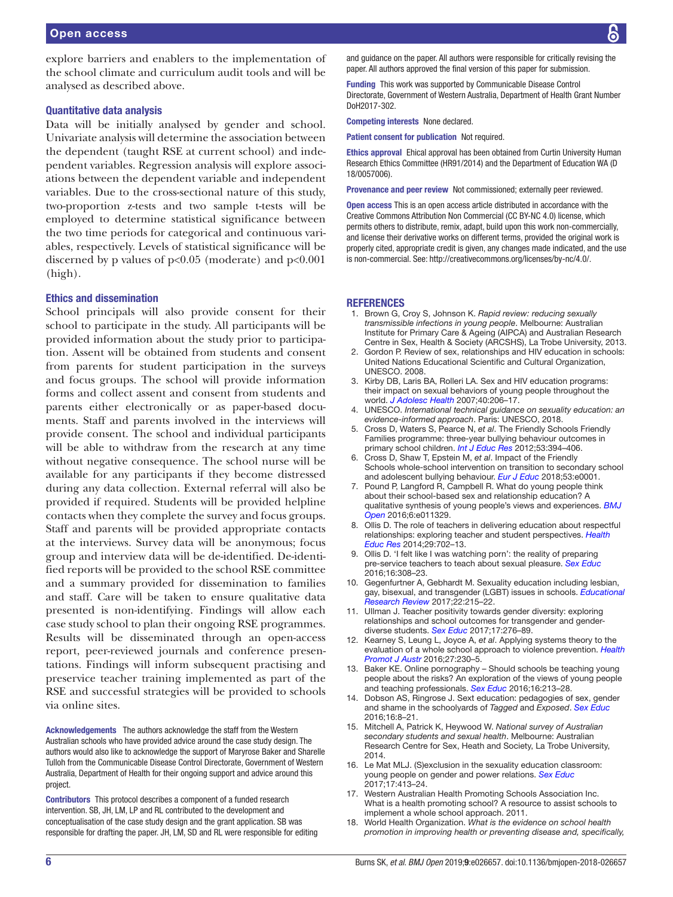explore barriers and enablers to the implementation of the school climate and curriculum audit tools and will be analysed as described above.

## Quantitative data analysis

Data will be initially analysed by gender and school. Univariate analysis will determine the association between the dependent (taught RSE at current school) and independent variables. Regression analysis will explore associations between the dependent variable and independent variables. Due to the cross-sectional nature of this study, two-proportion z-tests and two sample t-tests will be employed to determine statistical significance between the two time periods for categorical and continuous variables, respectively. Levels of statistical significance will be discerned by p values of  $p<0.05$  (moderate) and  $p<0.001$ (high).

#### Ethics and dissemination

School principals will also provide consent for their school to participate in the study. All participants will be provided information about the study prior to participation. Assent will be obtained from students and consent from parents for student participation in the surveys and focus groups. The school will provide information forms and collect assent and consent from students and parents either electronically or as paper-based documents. Staff and parents involved in the interviews will provide consent. The school and individual participants will be able to withdraw from the research at any time without negative consequence. The school nurse will be available for any participants if they become distressed during any data collection. External referral will also be provided if required. Students will be provided helpline contacts when they complete the survey and focus groups. Staff and parents will be provided appropriate contacts at the interviews. Survey data will be anonymous; focus group and interview data will be de-identified. De-identified reports will be provided to the school RSE committee and a summary provided for dissemination to families and staff. Care will be taken to ensure qualitative data presented is non-identifying. Findings will allow each case study school to plan their ongoing RSE programmes. Results will be disseminated through an open-access report, peer-reviewed journals and conference presentations. Findings will inform subsequent practising and preservice teacher training implemented as part of the RSE and successful strategies will be provided to schools via online sites.

Acknowledgements The authors acknowledge the staff from the Western Australian schools who have provided advice around the case study design. The authors would also like to acknowledge the support of Maryrose Baker and Sharelle Tulloh from the Communicable Disease Control Directorate, Government of Western Australia, Department of Health for their ongoing support and advice around this project.

Contributors This protocol describes a component of a funded research intervention. SB, JH, LM, LP and RL contributed to the development and conceptualisation of the case study design and the grant application. SB was responsible for drafting the paper. JH, LM, SD and RL were responsible for editing and guidance on the paper. All authors were responsible for critically revising the paper. All authors approved the final version of this paper for submission.

Funding This work was supported by Communicable Disease Control Directorate, Government of Western Australia, Department of Health Grant Number DoH2017-302.

Competing interests None declared.

Patient consent for publication Not required.

Ethics approval Ehical approval has been obtained from Curtin University Human Research Ethics Committee (HR91/2014) and the Department of Education WA (D 18/0057006).

Provenance and peer review Not commissioned; externally peer reviewed.

Open access This is an open access article distributed in accordance with the Creative Commons Attribution Non Commercial (CC BY-NC 4.0) license, which permits others to distribute, remix, adapt, build upon this work non-commercially, and license their derivative works on different terms, provided the original work is properly cited, appropriate credit is given, any changes made indicated, and the use is non-commercial. See: [http://creativecommons.org/licenses/by-nc/4.0/.](http://creativecommons.org/licenses/by-nc/4.0/)

#### **REFERENCES**

- <span id="page-5-0"></span>1. Brown G, Croy S, Johnson K. *Rapid review: reducing sexually transmissible infections in young people*. Melbourne: Australian Institute for Primary Care & Ageing (AIPCA) and Australian Research Centre in Sex, Health & Society (ARCSHS), La Trobe University, 2013.
- 2. Gordon P. Review of sex, relationships and HIV education in schools: United Nations Educational Scientific and Cultural Organization, UNESCO. 2008.
- 3. Kirby DB, Laris BA, Rolleri LA. Sex and HIV education programs: their impact on sexual behaviors of young people throughout the world. *[J Adolesc Health](http://dx.doi.org/10.1016/j.jadohealth.2006.11.143)* 2007;40:206–17.
- 4. UNESCO. *International technical guidance on sexuality education: an evidence-informed approach*. Paris: UNESCO, 2018.
- <span id="page-5-1"></span>5. Cross D, Waters S, Pearce N, *et al*. The Friendly Schools Friendly Families programme: three-year bullying behaviour outcomes in primary school children. *[Int J Educ Res](http://dx.doi.org/10.1016/j.ijer.2012.05.004)* 2012;53:394–406.
- 6. Cross D, Shaw T, Epstein M, *et al*. Impact of the Friendly Schools whole-school intervention on transition to secondary school and adolescent bullying behaviour. *[Eur J Educ](http://dx.doi.org/10.1111/ejed.12307)* 2018;53:e0001.
- <span id="page-5-2"></span>7. Pound P, Langford R, Campbell R. What do young people think about their school-based sex and relationship education? A qualitative synthesis of young people's views and experiences. *[BMJ](http://dx.doi.org/10.1136/bmjopen-2016-011329)  [Open](http://dx.doi.org/10.1136/bmjopen-2016-011329)* 2016;6:e011329.
- <span id="page-5-3"></span>8. Ollis D. The role of teachers in delivering education about respectful relationships: exploring teacher and student perspectives. *[Health](http://dx.doi.org/10.1093/her/cyu032)  [Educ Res](http://dx.doi.org/10.1093/her/cyu032)* 2014;29:702–13.
- 9. Ollis D. 'I felt like I was watching porn': the reality of preparing pre-service teachers to teach about sexual pleasure. *[Sex Educ](http://dx.doi.org/10.1080/14681811.2015.1075382)* 2016;16:308–23.
- <span id="page-5-4"></span>10. Gegenfurtner A, Gebhardt M. Sexuality education including lesbian, gay, bisexual, and transgender (LGBT) issues in schools. *[Educational](http://dx.doi.org/10.1016/j.edurev.2017.10.002)  [Research Review](http://dx.doi.org/10.1016/j.edurev.2017.10.002)* 2017;22:215–22.
- 11. Ullman J. Teacher positivity towards gender diversity: exploring relationships and school outcomes for transgender and genderdiverse students. *[Sex Educ](http://dx.doi.org/10.1080/14681811.2016.1273104)* 2017;17:276–89.
- 12. Kearney S, Leung L, Joyce A, *et al*. Applying systems theory to the evaluation of a whole school approach to violence prevention. *[Health](http://dx.doi.org/10.1071/HE16046)  [Promot J Austr](http://dx.doi.org/10.1071/HE16046)* 2016;27:230–5.
- <span id="page-5-5"></span>13. Baker KE. Online pornography – Should schools be teaching young people about the risks? An exploration of the views of young people and teaching professionals. *[Sex Educ](http://dx.doi.org/10.1080/14681811.2015.1090968)* 2016;16:213–28.
- <span id="page-5-6"></span>14. Dobson AS, Ringrose J. Sext education: pedagogies of sex, gender and shame in the schoolyards of *Tagged* and *Exposed*. *[Sex Educ](http://dx.doi.org/10.1080/14681811.2015.1050486)* 2016;16:8–21.
- <span id="page-5-9"></span>15. Mitchell A, Patrick K, Heywood W. *National survey of Australian secondary students and sexual health*. Melbourne: Australian Research Centre for Sex, Heath and Society, La Trobe University, 2014.
- 16. Le Mat MLJ. (S)exclusion in the sexuality education classroom: young people on gender and power relations. *[Sex Educ](http://dx.doi.org/10.1080/14681811.2017.1301252)* 2017;17:413–24.
- <span id="page-5-7"></span>17. Western Australian Health Promoting Schools Association Inc. What is a health promoting school? A resource to assist schools to implement a whole school approach. 2011.
- <span id="page-5-8"></span>18. World Health Organization. *What is the evidence on school health promotion in improving health or preventing disease and, specifically,*